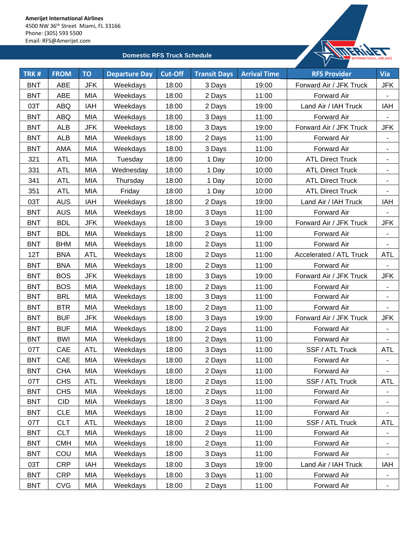

| TRK#       | <b>FROM</b> | <b>TO</b>  | <b>Departure Day</b> | <b>Cut-Off</b> | <b>Transit Days</b> | <b>Arrival Time</b> | <b>RFS Provider</b>     | <b>Via</b>               |
|------------|-------------|------------|----------------------|----------------|---------------------|---------------------|-------------------------|--------------------------|
| <b>BNT</b> | ABE         | <b>JFK</b> | Weekdays             | 18:00          | 3 Days              | 19:00               | Forward Air / JFK Truck | <b>JFK</b>               |
| <b>BNT</b> | ABE         | MIA        | Weekdays             | 18:00          | 2 Days              | 11:00               | <b>Forward Air</b>      |                          |
| 03T        | ABQ         | IAH        | Weekdays             | 18:00          | 2 Days              | 19:00               | Land Air / IAH Truck    | IAH                      |
| <b>BNT</b> | <b>ABQ</b>  | MIA        | Weekdays             | 18:00          | 3 Days              | 11:00               | Forward Air             |                          |
| <b>BNT</b> | <b>ALB</b>  | <b>JFK</b> | Weekdays             | 18:00          | 3 Days              | 19:00               | Forward Air / JFK Truck | <b>JFK</b>               |
| <b>BNT</b> | <b>ALB</b>  | MIA        | Weekdays             | 18:00          | 2 Days              | 11:00               | Forward Air             | $\overline{\phantom{a}}$ |
| <b>BNT</b> | <b>AMA</b>  | MIA        | Weekdays             | 18:00          | 3 Days              | 11:00               | Forward Air             | $\blacksquare$           |
| 321        | <b>ATL</b>  | MIA        | Tuesday              | 18:00          | 1 Day               | 10:00               | <b>ATL Direct Truck</b> |                          |
| 331        | ATL         | MIA        | Wednesday            | 18:00          | 1 Day               | 10:00               | <b>ATL Direct Truck</b> | ۰                        |
| 341        | <b>ATL</b>  | MIA        | Thursday             | 18:00          | 1 Day               | 10:00               | <b>ATL Direct Truck</b> | ٠                        |
| 351        | <b>ATL</b>  | MIA        | Friday               | 18:00          | 1 Day               | 10:00               | <b>ATL Direct Truck</b> | $\blacksquare$           |
| 03T        | <b>AUS</b>  | IAH        | Weekdays             | 18:00          | 2 Days              | 19:00               | Land Air / IAH Truck    | IAH                      |
| <b>BNT</b> | <b>AUS</b>  | MIA        | Weekdays             | 18:00          | 3 Days              | 11:00               | Forward Air             |                          |
| <b>BNT</b> | <b>BDL</b>  | <b>JFK</b> | Weekdays             | 18:00          | 3 Days              | 19:00               | Forward Air / JFK Truck | <b>JFK</b>               |
| <b>BNT</b> | <b>BDL</b>  | MIA        | Weekdays             | 18:00          | 2 Days              | 11:00               | Forward Air             |                          |
| <b>BNT</b> | <b>BHM</b>  | MIA        | Weekdays             | 18:00          | 2 Days              | 11:00               | Forward Air             |                          |
| 12T        | <b>BNA</b>  | ATL        | Weekdays             | 18:00          | 2 Days              | 11:00               | Accelerated / ATL Truck | <b>ATL</b>               |
| <b>BNT</b> | <b>BNA</b>  | MIA        | Weekdays             | 18:00          | 2 Days              | 11:00               | Forward Air             | $\blacksquare$           |
| <b>BNT</b> | <b>BOS</b>  | <b>JFK</b> | Weekdays             | 18:00          | 3 Days              | 19:00               | Forward Air / JFK Truck | <b>JFK</b>               |
| <b>BNT</b> | <b>BOS</b>  | MIA        | Weekdays             | 18:00          | 2 Days              | 11:00               | Forward Air             |                          |
| <b>BNT</b> | <b>BRL</b>  | MIA        | Weekdays             | 18:00          | 3 Days              | 11:00               | Forward Air             | $\blacksquare$           |
| <b>BNT</b> | <b>BTR</b>  | MIA        | Weekdays             | 18:00          | 2 Days              | 11:00               | Forward Air             |                          |
| <b>BNT</b> | <b>BUF</b>  | JFK        | Weekdays             | 18:00          | 3 Days              | 19:00               | Forward Air / JFK Truck | <b>JFK</b>               |
| <b>BNT</b> | <b>BUF</b>  | MIA        | Weekdays             | 18:00          | 2 Days              | 11:00               | Forward Air             | $\overline{\phantom{a}}$ |
| <b>BNT</b> | <b>BWI</b>  | MIA        | Weekdays             | 18:00          | 2 Days              | 11:00               | Forward Air             | $\overline{\phantom{a}}$ |
| 07T        | CAE         | <b>ATL</b> | Weekdays             | 18:00          | 3 Days              | 11:00               | SSF / ATL Truck         | <b>ATL</b>               |
| <b>BNT</b> | CAE         | MIA        | Weekdays             | 18:00          | 2 Days              | 11:00               | <b>Forward Air</b>      |                          |
| <b>BNT</b> | <b>CHA</b>  | MIA        | Weekdays             | 18:00          | 2 Days              | 11:00               | Forward Air             |                          |
| 07T        | <b>CHS</b>  | <b>ATL</b> | Weekdays             | 18:00          | 2 Days              | 11:00               | SSF / ATL Truck         | <b>ATL</b>               |
| <b>BNT</b> | <b>CHS</b>  | MIA        | Weekdays             | 18:00          | 2 Days              | 11:00               | Forward Air             | ۰                        |
| <b>BNT</b> | <b>CID</b>  | MIA        | Weekdays             | 18:00          | 3 Days              | 11:00               | Forward Air             |                          |
| <b>BNT</b> | <b>CLE</b>  | MIA        | Weekdays             | 18:00          | 2 Days              | 11:00               | Forward Air             |                          |
| 07T        | <b>CLT</b>  | <b>ATL</b> | Weekdays             | 18:00          | 2 Days              | 11:00               | SSF / ATL Truck         | <b>ATL</b>               |
| <b>BNT</b> | <b>CLT</b>  | MIA        | Weekdays             | 18:00          | 2 Days              | 11:00               | Forward Air             | ۰                        |
| <b>BNT</b> | <b>CMH</b>  | MIA        | Weekdays             | 18:00          | 2 Days              | 11:00               | Forward Air             |                          |
| <b>BNT</b> | COU         | MIA        | Weekdays             | 18:00          | 3 Days              | 11:00               | Forward Air             | $\blacksquare$           |
| 03T        | <b>CRP</b>  | IAH        | Weekdays             | 18:00          | 3 Days              | 19:00               | Land Air / IAH Truck    | IAH                      |
| <b>BNT</b> | <b>CRP</b>  | MIA        | Weekdays             | 18:00          | 3 Days              | 11:00               | Forward Air             | $\blacksquare$           |
| <b>BNT</b> | <b>CVG</b>  | MIA        | Weekdays             | 18:00          | 2 Days              | 11:00               | Forward Air             | ۰                        |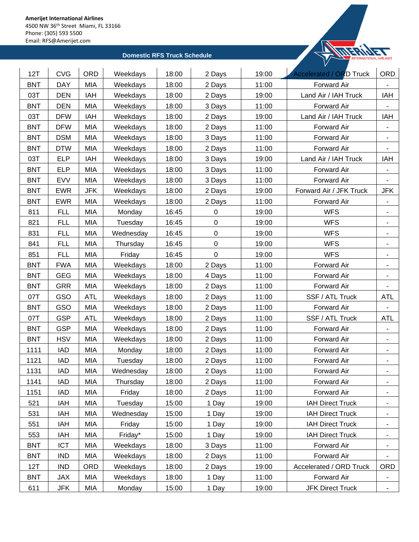

| 12T<br>18:00<br>19:00<br><b>Accelerated / ORD Truck</b><br>ORD<br>Weekdays<br>2 Days<br><b>DAY</b><br><b>MIA</b><br>11:00<br><b>BNT</b><br>Weekdays<br>18:00<br>2 Days<br>Forward Air<br><b>DEN</b><br>03T<br>IAH<br>Weekdays<br>18:00<br>19:00<br>Land Air / IAH Truck<br>IAH<br>2 Days<br><b>BNT</b><br>MIA<br>11:00<br>Forward Air<br><b>DEN</b><br>Weekdays<br>18:00<br>3 Days<br>03T<br><b>DFW</b><br>IAH<br>Weekdays<br>18:00<br>19:00<br>Land Air / IAH Truck<br>IAH<br>2 Days<br><b>BNT</b><br><b>DFW</b><br>MIA<br>18:00<br>11:00<br>Weekdays<br>2 Days<br>Forward Air<br>$\overline{\phantom{a}}$<br><b>BNT</b><br><b>DSM</b><br>MIA<br>18:00<br>11:00<br>Forward Air<br>Weekdays<br>3 Days<br>$\overline{\phantom{a}}$<br><b>BNT</b><br><b>DTW</b><br><b>MIA</b><br>18:00<br>11:00<br>Weekdays<br>2 Days<br>Forward Air<br>03T<br><b>ELP</b><br>IAH<br>Weekdays<br>18:00<br>3 Days<br>19:00<br>Land Air / IAH Truck<br>IAH<br>11:00<br><b>BNT</b><br><b>ELP</b><br>MIA<br>Weekdays<br>18:00<br>3 Days<br>Forward Air<br>$\overline{\phantom{a}}$<br>11:00<br><b>BNT</b><br><b>EVV</b><br>MIA<br>Weekdays<br>18:00<br>Forward Air<br>3 Days<br><b>BNT</b><br><b>EWR</b><br><b>JFK</b><br>Weekdays<br>18:00<br>2 Days<br>19:00<br>Forward Air / JFK Truck<br>JFK<br><b>EWR</b><br>MIA<br>18:00<br>11:00<br><b>BNT</b><br>Weekdays<br>2 Days<br>Forward Air<br>$\overline{\phantom{a}}$<br>19:00<br><b>WFS</b><br>811<br><b>FLL</b><br>MIA<br>Monday<br>16:45<br>$\mathbf 0$<br>821<br><b>FLL</b><br>MIA<br>16:45<br>$\pmb{0}$<br>19:00<br><b>WFS</b><br>Tuesday<br>$\blacksquare$<br>$\pmb{0}$<br>831<br><b>FLL</b><br>MIA<br><b>WFS</b><br>Wednesday<br>16:45<br>19:00<br>٠<br><b>FLL</b><br>MIA<br>Thursday<br>16:45<br>$\mathbf 0$<br>19:00<br><b>WFS</b><br>841<br>$\blacksquare$<br><b>WFS</b><br><b>FLL</b><br>MIA<br>16:45<br>$\pmb{0}$<br>19:00<br>851<br>Friday<br>$\overline{\phantom{a}}$<br><b>BNT</b><br><b>FWA</b><br>MIA<br>11:00<br>Weekdays<br>18:00<br>2 Days<br>Forward Air<br>$\overline{\phantom{a}}$<br><b>BNT</b><br><b>GEG</b><br><b>MIA</b><br>18:00<br>11:00<br>Weekdays<br>4 Days<br>Forward Air<br>$\blacksquare$<br><b>GRR</b><br>MIA<br>11:00<br><b>BNT</b><br>Weekdays<br>18:00<br>Forward Air<br>2 Days<br>GSO<br><b>ATL</b><br>Weekdays<br>18:00<br>11:00<br>SSF / ATL Truck<br>07T<br>2 Days<br><b>ATL</b><br>GSO<br>MIA<br>11:00<br><b>BNT</b><br>18:00<br>2 Days<br>Forward Air<br>Weekdays<br>07T<br><b>GSP</b><br><b>ATL</b><br>11:00<br>SSF / ATL Truck<br><b>ATL</b><br>Weekdays<br>18:00<br>2 Days<br><b>BNT</b><br><b>GSP</b><br>MIA<br>18:00<br>11:00<br>Forward Air<br>Weekdays<br>2 Days<br>$\overline{\phantom{a}}$<br><b>HSV</b><br><b>MIA</b><br><b>BNT</b><br>18:00<br>11:00<br>Forward Air<br>Weekdays<br>2 Days<br><b>IAD</b><br>MIA<br>11:00<br>1111<br>Monday<br>18:00<br>2 Days<br>Forward Air<br>۰<br>1121<br>Tuesday<br>18:00<br>11:00<br>Forward Air<br><b>IAD</b><br>MIA<br>2 Days<br>٠<br>1131<br>MIA<br>IAD<br>18:00<br>2 Days<br>11:00<br>Wednesday<br>Forward Air<br>1141<br><b>IAD</b><br>MIA<br>Thursday<br>18:00<br>11:00<br>2 Days<br>Forward Air<br>-<br>MIA<br>18:00<br>11:00<br>Forward Air<br>1151<br><b>IAD</b><br>Friday<br>2 Days<br>۰<br>521<br><b>IAH</b><br>MIA<br>Tuesday<br>19:00<br><b>IAH Direct Truck</b><br>15:00<br>1 Day<br>$\blacksquare$<br>531<br>IAH<br>MIA<br>Wednesday<br>15:00<br>19:00<br><b>IAH Direct Truck</b><br>1 Day<br>MIA<br>15:00<br>19:00<br><b>IAH Direct Truck</b><br>551<br>IAH<br>Friday<br>1 Day<br>۰.<br>553<br>MIA<br>Friday*<br>15:00<br>1 Day<br>19:00<br><b>IAH Direct Truck</b><br>IAH<br>٠<br><b>BNT</b><br>11:00<br>Forward Air<br><b>ICT</b><br>MIA<br>Weekdays<br>18:00<br>3 Days<br>٠<br><b>BNT</b><br>MIA<br>11:00<br><b>IND</b><br>Weekdays<br>18:00<br>2 Days<br>Forward Air<br>12T<br><b>IND</b><br><b>ORD</b><br>Weekdays<br>18:00<br>2 Days<br>19:00<br>Accelerated / ORD Truck<br><b>ORD</b><br>MIA<br>11:00<br><b>BNT</b><br>JAX<br>Weekdays<br>18:00<br>1 Day<br>Forward Air<br>611<br>MIA<br>15:00<br>19:00<br><b>JFK Direct Truck</b><br>JFK<br>Monday<br>$\blacksquare$ |            |     |  |       |  |  |
|--------------------------------------------------------------------------------------------------------------------------------------------------------------------------------------------------------------------------------------------------------------------------------------------------------------------------------------------------------------------------------------------------------------------------------------------------------------------------------------------------------------------------------------------------------------------------------------------------------------------------------------------------------------------------------------------------------------------------------------------------------------------------------------------------------------------------------------------------------------------------------------------------------------------------------------------------------------------------------------------------------------------------------------------------------------------------------------------------------------------------------------------------------------------------------------------------------------------------------------------------------------------------------------------------------------------------------------------------------------------------------------------------------------------------------------------------------------------------------------------------------------------------------------------------------------------------------------------------------------------------------------------------------------------------------------------------------------------------------------------------------------------------------------------------------------------------------------------------------------------------------------------------------------------------------------------------------------------------------------------------------------------------------------------------------------------------------------------------------------------------------------------------------------------------------------------------------------------------------------------------------------------------------------------------------------------------------------------------------------------------------------------------------------------------------------------------------------------------------------------------------------------------------------------------------------------------------------------------------------------------------------------------------------------------------------------------------------------------------------------------------------------------------------------------------------------------------------------------------------------------------------------------------------------------------------------------------------------------------------------------------------------------------------------------------------------------------------------------------------------------------------------------------------------------------------------------------------------------------------------------------------------------------------------------------------------------------------------------------------------------------------------------------------------------------------------------------------------------------------------------------------------------------------------------------------------------------------------------------------------------------------------------------------------------------------------------------------------------------------------------------------------------------------------------------------------------------------------------------------------------------------------------------------------------------------------------------------------------------------------------------------------------------------------------------------------------------------------------------------------|------------|-----|--|-------|--|--|
|                                                                                                                                                                                                                                                                                                                                                                                                                                                                                                                                                                                                                                                                                                                                                                                                                                                                                                                                                                                                                                                                                                                                                                                                                                                                                                                                                                                                                                                                                                                                                                                                                                                                                                                                                                                                                                                                                                                                                                                                                                                                                                                                                                                                                                                                                                                                                                                                                                                                                                                                                                                                                                                                                                                                                                                                                                                                                                                                                                                                                                                                                                                                                                                                                                                                                                                                                                                                                                                                                                                                                                                                                                                                                                                                                                                                                                                                                                                                                                                                                                                                                                                    | <b>CVG</b> | ORD |  |       |  |  |
|                                                                                                                                                                                                                                                                                                                                                                                                                                                                                                                                                                                                                                                                                                                                                                                                                                                                                                                                                                                                                                                                                                                                                                                                                                                                                                                                                                                                                                                                                                                                                                                                                                                                                                                                                                                                                                                                                                                                                                                                                                                                                                                                                                                                                                                                                                                                                                                                                                                                                                                                                                                                                                                                                                                                                                                                                                                                                                                                                                                                                                                                                                                                                                                                                                                                                                                                                                                                                                                                                                                                                                                                                                                                                                                                                                                                                                                                                                                                                                                                                                                                                                                    |            |     |  |       |  |  |
|                                                                                                                                                                                                                                                                                                                                                                                                                                                                                                                                                                                                                                                                                                                                                                                                                                                                                                                                                                                                                                                                                                                                                                                                                                                                                                                                                                                                                                                                                                                                                                                                                                                                                                                                                                                                                                                                                                                                                                                                                                                                                                                                                                                                                                                                                                                                                                                                                                                                                                                                                                                                                                                                                                                                                                                                                                                                                                                                                                                                                                                                                                                                                                                                                                                                                                                                                                                                                                                                                                                                                                                                                                                                                                                                                                                                                                                                                                                                                                                                                                                                                                                    |            |     |  |       |  |  |
|                                                                                                                                                                                                                                                                                                                                                                                                                                                                                                                                                                                                                                                                                                                                                                                                                                                                                                                                                                                                                                                                                                                                                                                                                                                                                                                                                                                                                                                                                                                                                                                                                                                                                                                                                                                                                                                                                                                                                                                                                                                                                                                                                                                                                                                                                                                                                                                                                                                                                                                                                                                                                                                                                                                                                                                                                                                                                                                                                                                                                                                                                                                                                                                                                                                                                                                                                                                                                                                                                                                                                                                                                                                                                                                                                                                                                                                                                                                                                                                                                                                                                                                    |            |     |  |       |  |  |
|                                                                                                                                                                                                                                                                                                                                                                                                                                                                                                                                                                                                                                                                                                                                                                                                                                                                                                                                                                                                                                                                                                                                                                                                                                                                                                                                                                                                                                                                                                                                                                                                                                                                                                                                                                                                                                                                                                                                                                                                                                                                                                                                                                                                                                                                                                                                                                                                                                                                                                                                                                                                                                                                                                                                                                                                                                                                                                                                                                                                                                                                                                                                                                                                                                                                                                                                                                                                                                                                                                                                                                                                                                                                                                                                                                                                                                                                                                                                                                                                                                                                                                                    |            |     |  |       |  |  |
|                                                                                                                                                                                                                                                                                                                                                                                                                                                                                                                                                                                                                                                                                                                                                                                                                                                                                                                                                                                                                                                                                                                                                                                                                                                                                                                                                                                                                                                                                                                                                                                                                                                                                                                                                                                                                                                                                                                                                                                                                                                                                                                                                                                                                                                                                                                                                                                                                                                                                                                                                                                                                                                                                                                                                                                                                                                                                                                                                                                                                                                                                                                                                                                                                                                                                                                                                                                                                                                                                                                                                                                                                                                                                                                                                                                                                                                                                                                                                                                                                                                                                                                    |            |     |  |       |  |  |
|                                                                                                                                                                                                                                                                                                                                                                                                                                                                                                                                                                                                                                                                                                                                                                                                                                                                                                                                                                                                                                                                                                                                                                                                                                                                                                                                                                                                                                                                                                                                                                                                                                                                                                                                                                                                                                                                                                                                                                                                                                                                                                                                                                                                                                                                                                                                                                                                                                                                                                                                                                                                                                                                                                                                                                                                                                                                                                                                                                                                                                                                                                                                                                                                                                                                                                                                                                                                                                                                                                                                                                                                                                                                                                                                                                                                                                                                                                                                                                                                                                                                                                                    |            |     |  |       |  |  |
|                                                                                                                                                                                                                                                                                                                                                                                                                                                                                                                                                                                                                                                                                                                                                                                                                                                                                                                                                                                                                                                                                                                                                                                                                                                                                                                                                                                                                                                                                                                                                                                                                                                                                                                                                                                                                                                                                                                                                                                                                                                                                                                                                                                                                                                                                                                                                                                                                                                                                                                                                                                                                                                                                                                                                                                                                                                                                                                                                                                                                                                                                                                                                                                                                                                                                                                                                                                                                                                                                                                                                                                                                                                                                                                                                                                                                                                                                                                                                                                                                                                                                                                    |            |     |  |       |  |  |
|                                                                                                                                                                                                                                                                                                                                                                                                                                                                                                                                                                                                                                                                                                                                                                                                                                                                                                                                                                                                                                                                                                                                                                                                                                                                                                                                                                                                                                                                                                                                                                                                                                                                                                                                                                                                                                                                                                                                                                                                                                                                                                                                                                                                                                                                                                                                                                                                                                                                                                                                                                                                                                                                                                                                                                                                                                                                                                                                                                                                                                                                                                                                                                                                                                                                                                                                                                                                                                                                                                                                                                                                                                                                                                                                                                                                                                                                                                                                                                                                                                                                                                                    |            |     |  |       |  |  |
|                                                                                                                                                                                                                                                                                                                                                                                                                                                                                                                                                                                                                                                                                                                                                                                                                                                                                                                                                                                                                                                                                                                                                                                                                                                                                                                                                                                                                                                                                                                                                                                                                                                                                                                                                                                                                                                                                                                                                                                                                                                                                                                                                                                                                                                                                                                                                                                                                                                                                                                                                                                                                                                                                                                                                                                                                                                                                                                                                                                                                                                                                                                                                                                                                                                                                                                                                                                                                                                                                                                                                                                                                                                                                                                                                                                                                                                                                                                                                                                                                                                                                                                    |            |     |  |       |  |  |
|                                                                                                                                                                                                                                                                                                                                                                                                                                                                                                                                                                                                                                                                                                                                                                                                                                                                                                                                                                                                                                                                                                                                                                                                                                                                                                                                                                                                                                                                                                                                                                                                                                                                                                                                                                                                                                                                                                                                                                                                                                                                                                                                                                                                                                                                                                                                                                                                                                                                                                                                                                                                                                                                                                                                                                                                                                                                                                                                                                                                                                                                                                                                                                                                                                                                                                                                                                                                                                                                                                                                                                                                                                                                                                                                                                                                                                                                                                                                                                                                                                                                                                                    |            |     |  |       |  |  |
|                                                                                                                                                                                                                                                                                                                                                                                                                                                                                                                                                                                                                                                                                                                                                                                                                                                                                                                                                                                                                                                                                                                                                                                                                                                                                                                                                                                                                                                                                                                                                                                                                                                                                                                                                                                                                                                                                                                                                                                                                                                                                                                                                                                                                                                                                                                                                                                                                                                                                                                                                                                                                                                                                                                                                                                                                                                                                                                                                                                                                                                                                                                                                                                                                                                                                                                                                                                                                                                                                                                                                                                                                                                                                                                                                                                                                                                                                                                                                                                                                                                                                                                    |            |     |  |       |  |  |
|                                                                                                                                                                                                                                                                                                                                                                                                                                                                                                                                                                                                                                                                                                                                                                                                                                                                                                                                                                                                                                                                                                                                                                                                                                                                                                                                                                                                                                                                                                                                                                                                                                                                                                                                                                                                                                                                                                                                                                                                                                                                                                                                                                                                                                                                                                                                                                                                                                                                                                                                                                                                                                                                                                                                                                                                                                                                                                                                                                                                                                                                                                                                                                                                                                                                                                                                                                                                                                                                                                                                                                                                                                                                                                                                                                                                                                                                                                                                                                                                                                                                                                                    |            |     |  |       |  |  |
|                                                                                                                                                                                                                                                                                                                                                                                                                                                                                                                                                                                                                                                                                                                                                                                                                                                                                                                                                                                                                                                                                                                                                                                                                                                                                                                                                                                                                                                                                                                                                                                                                                                                                                                                                                                                                                                                                                                                                                                                                                                                                                                                                                                                                                                                                                                                                                                                                                                                                                                                                                                                                                                                                                                                                                                                                                                                                                                                                                                                                                                                                                                                                                                                                                                                                                                                                                                                                                                                                                                                                                                                                                                                                                                                                                                                                                                                                                                                                                                                                                                                                                                    |            |     |  |       |  |  |
|                                                                                                                                                                                                                                                                                                                                                                                                                                                                                                                                                                                                                                                                                                                                                                                                                                                                                                                                                                                                                                                                                                                                                                                                                                                                                                                                                                                                                                                                                                                                                                                                                                                                                                                                                                                                                                                                                                                                                                                                                                                                                                                                                                                                                                                                                                                                                                                                                                                                                                                                                                                                                                                                                                                                                                                                                                                                                                                                                                                                                                                                                                                                                                                                                                                                                                                                                                                                                                                                                                                                                                                                                                                                                                                                                                                                                                                                                                                                                                                                                                                                                                                    |            |     |  |       |  |  |
|                                                                                                                                                                                                                                                                                                                                                                                                                                                                                                                                                                                                                                                                                                                                                                                                                                                                                                                                                                                                                                                                                                                                                                                                                                                                                                                                                                                                                                                                                                                                                                                                                                                                                                                                                                                                                                                                                                                                                                                                                                                                                                                                                                                                                                                                                                                                                                                                                                                                                                                                                                                                                                                                                                                                                                                                                                                                                                                                                                                                                                                                                                                                                                                                                                                                                                                                                                                                                                                                                                                                                                                                                                                                                                                                                                                                                                                                                                                                                                                                                                                                                                                    |            |     |  |       |  |  |
|                                                                                                                                                                                                                                                                                                                                                                                                                                                                                                                                                                                                                                                                                                                                                                                                                                                                                                                                                                                                                                                                                                                                                                                                                                                                                                                                                                                                                                                                                                                                                                                                                                                                                                                                                                                                                                                                                                                                                                                                                                                                                                                                                                                                                                                                                                                                                                                                                                                                                                                                                                                                                                                                                                                                                                                                                                                                                                                                                                                                                                                                                                                                                                                                                                                                                                                                                                                                                                                                                                                                                                                                                                                                                                                                                                                                                                                                                                                                                                                                                                                                                                                    |            |     |  |       |  |  |
|                                                                                                                                                                                                                                                                                                                                                                                                                                                                                                                                                                                                                                                                                                                                                                                                                                                                                                                                                                                                                                                                                                                                                                                                                                                                                                                                                                                                                                                                                                                                                                                                                                                                                                                                                                                                                                                                                                                                                                                                                                                                                                                                                                                                                                                                                                                                                                                                                                                                                                                                                                                                                                                                                                                                                                                                                                                                                                                                                                                                                                                                                                                                                                                                                                                                                                                                                                                                                                                                                                                                                                                                                                                                                                                                                                                                                                                                                                                                                                                                                                                                                                                    |            |     |  |       |  |  |
|                                                                                                                                                                                                                                                                                                                                                                                                                                                                                                                                                                                                                                                                                                                                                                                                                                                                                                                                                                                                                                                                                                                                                                                                                                                                                                                                                                                                                                                                                                                                                                                                                                                                                                                                                                                                                                                                                                                                                                                                                                                                                                                                                                                                                                                                                                                                                                                                                                                                                                                                                                                                                                                                                                                                                                                                                                                                                                                                                                                                                                                                                                                                                                                                                                                                                                                                                                                                                                                                                                                                                                                                                                                                                                                                                                                                                                                                                                                                                                                                                                                                                                                    |            |     |  |       |  |  |
|                                                                                                                                                                                                                                                                                                                                                                                                                                                                                                                                                                                                                                                                                                                                                                                                                                                                                                                                                                                                                                                                                                                                                                                                                                                                                                                                                                                                                                                                                                                                                                                                                                                                                                                                                                                                                                                                                                                                                                                                                                                                                                                                                                                                                                                                                                                                                                                                                                                                                                                                                                                                                                                                                                                                                                                                                                                                                                                                                                                                                                                                                                                                                                                                                                                                                                                                                                                                                                                                                                                                                                                                                                                                                                                                                                                                                                                                                                                                                                                                                                                                                                                    |            |     |  |       |  |  |
|                                                                                                                                                                                                                                                                                                                                                                                                                                                                                                                                                                                                                                                                                                                                                                                                                                                                                                                                                                                                                                                                                                                                                                                                                                                                                                                                                                                                                                                                                                                                                                                                                                                                                                                                                                                                                                                                                                                                                                                                                                                                                                                                                                                                                                                                                                                                                                                                                                                                                                                                                                                                                                                                                                                                                                                                                                                                                                                                                                                                                                                                                                                                                                                                                                                                                                                                                                                                                                                                                                                                                                                                                                                                                                                                                                                                                                                                                                                                                                                                                                                                                                                    |            |     |  |       |  |  |
|                                                                                                                                                                                                                                                                                                                                                                                                                                                                                                                                                                                                                                                                                                                                                                                                                                                                                                                                                                                                                                                                                                                                                                                                                                                                                                                                                                                                                                                                                                                                                                                                                                                                                                                                                                                                                                                                                                                                                                                                                                                                                                                                                                                                                                                                                                                                                                                                                                                                                                                                                                                                                                                                                                                                                                                                                                                                                                                                                                                                                                                                                                                                                                                                                                                                                                                                                                                                                                                                                                                                                                                                                                                                                                                                                                                                                                                                                                                                                                                                                                                                                                                    |            |     |  |       |  |  |
|                                                                                                                                                                                                                                                                                                                                                                                                                                                                                                                                                                                                                                                                                                                                                                                                                                                                                                                                                                                                                                                                                                                                                                                                                                                                                                                                                                                                                                                                                                                                                                                                                                                                                                                                                                                                                                                                                                                                                                                                                                                                                                                                                                                                                                                                                                                                                                                                                                                                                                                                                                                                                                                                                                                                                                                                                                                                                                                                                                                                                                                                                                                                                                                                                                                                                                                                                                                                                                                                                                                                                                                                                                                                                                                                                                                                                                                                                                                                                                                                                                                                                                                    |            |     |  |       |  |  |
|                                                                                                                                                                                                                                                                                                                                                                                                                                                                                                                                                                                                                                                                                                                                                                                                                                                                                                                                                                                                                                                                                                                                                                                                                                                                                                                                                                                                                                                                                                                                                                                                                                                                                                                                                                                                                                                                                                                                                                                                                                                                                                                                                                                                                                                                                                                                                                                                                                                                                                                                                                                                                                                                                                                                                                                                                                                                                                                                                                                                                                                                                                                                                                                                                                                                                                                                                                                                                                                                                                                                                                                                                                                                                                                                                                                                                                                                                                                                                                                                                                                                                                                    |            |     |  |       |  |  |
|                                                                                                                                                                                                                                                                                                                                                                                                                                                                                                                                                                                                                                                                                                                                                                                                                                                                                                                                                                                                                                                                                                                                                                                                                                                                                                                                                                                                                                                                                                                                                                                                                                                                                                                                                                                                                                                                                                                                                                                                                                                                                                                                                                                                                                                                                                                                                                                                                                                                                                                                                                                                                                                                                                                                                                                                                                                                                                                                                                                                                                                                                                                                                                                                                                                                                                                                                                                                                                                                                                                                                                                                                                                                                                                                                                                                                                                                                                                                                                                                                                                                                                                    |            |     |  |       |  |  |
|                                                                                                                                                                                                                                                                                                                                                                                                                                                                                                                                                                                                                                                                                                                                                                                                                                                                                                                                                                                                                                                                                                                                                                                                                                                                                                                                                                                                                                                                                                                                                                                                                                                                                                                                                                                                                                                                                                                                                                                                                                                                                                                                                                                                                                                                                                                                                                                                                                                                                                                                                                                                                                                                                                                                                                                                                                                                                                                                                                                                                                                                                                                                                                                                                                                                                                                                                                                                                                                                                                                                                                                                                                                                                                                                                                                                                                                                                                                                                                                                                                                                                                                    |            |     |  |       |  |  |
|                                                                                                                                                                                                                                                                                                                                                                                                                                                                                                                                                                                                                                                                                                                                                                                                                                                                                                                                                                                                                                                                                                                                                                                                                                                                                                                                                                                                                                                                                                                                                                                                                                                                                                                                                                                                                                                                                                                                                                                                                                                                                                                                                                                                                                                                                                                                                                                                                                                                                                                                                                                                                                                                                                                                                                                                                                                                                                                                                                                                                                                                                                                                                                                                                                                                                                                                                                                                                                                                                                                                                                                                                                                                                                                                                                                                                                                                                                                                                                                                                                                                                                                    |            |     |  |       |  |  |
|                                                                                                                                                                                                                                                                                                                                                                                                                                                                                                                                                                                                                                                                                                                                                                                                                                                                                                                                                                                                                                                                                                                                                                                                                                                                                                                                                                                                                                                                                                                                                                                                                                                                                                                                                                                                                                                                                                                                                                                                                                                                                                                                                                                                                                                                                                                                                                                                                                                                                                                                                                                                                                                                                                                                                                                                                                                                                                                                                                                                                                                                                                                                                                                                                                                                                                                                                                                                                                                                                                                                                                                                                                                                                                                                                                                                                                                                                                                                                                                                                                                                                                                    |            |     |  |       |  |  |
|                                                                                                                                                                                                                                                                                                                                                                                                                                                                                                                                                                                                                                                                                                                                                                                                                                                                                                                                                                                                                                                                                                                                                                                                                                                                                                                                                                                                                                                                                                                                                                                                                                                                                                                                                                                                                                                                                                                                                                                                                                                                                                                                                                                                                                                                                                                                                                                                                                                                                                                                                                                                                                                                                                                                                                                                                                                                                                                                                                                                                                                                                                                                                                                                                                                                                                                                                                                                                                                                                                                                                                                                                                                                                                                                                                                                                                                                                                                                                                                                                                                                                                                    |            |     |  |       |  |  |
|                                                                                                                                                                                                                                                                                                                                                                                                                                                                                                                                                                                                                                                                                                                                                                                                                                                                                                                                                                                                                                                                                                                                                                                                                                                                                                                                                                                                                                                                                                                                                                                                                                                                                                                                                                                                                                                                                                                                                                                                                                                                                                                                                                                                                                                                                                                                                                                                                                                                                                                                                                                                                                                                                                                                                                                                                                                                                                                                                                                                                                                                                                                                                                                                                                                                                                                                                                                                                                                                                                                                                                                                                                                                                                                                                                                                                                                                                                                                                                                                                                                                                                                    |            |     |  |       |  |  |
|                                                                                                                                                                                                                                                                                                                                                                                                                                                                                                                                                                                                                                                                                                                                                                                                                                                                                                                                                                                                                                                                                                                                                                                                                                                                                                                                                                                                                                                                                                                                                                                                                                                                                                                                                                                                                                                                                                                                                                                                                                                                                                                                                                                                                                                                                                                                                                                                                                                                                                                                                                                                                                                                                                                                                                                                                                                                                                                                                                                                                                                                                                                                                                                                                                                                                                                                                                                                                                                                                                                                                                                                                                                                                                                                                                                                                                                                                                                                                                                                                                                                                                                    |            |     |  |       |  |  |
|                                                                                                                                                                                                                                                                                                                                                                                                                                                                                                                                                                                                                                                                                                                                                                                                                                                                                                                                                                                                                                                                                                                                                                                                                                                                                                                                                                                                                                                                                                                                                                                                                                                                                                                                                                                                                                                                                                                                                                                                                                                                                                                                                                                                                                                                                                                                                                                                                                                                                                                                                                                                                                                                                                                                                                                                                                                                                                                                                                                                                                                                                                                                                                                                                                                                                                                                                                                                                                                                                                                                                                                                                                                                                                                                                                                                                                                                                                                                                                                                                                                                                                                    |            |     |  |       |  |  |
|                                                                                                                                                                                                                                                                                                                                                                                                                                                                                                                                                                                                                                                                                                                                                                                                                                                                                                                                                                                                                                                                                                                                                                                                                                                                                                                                                                                                                                                                                                                                                                                                                                                                                                                                                                                                                                                                                                                                                                                                                                                                                                                                                                                                                                                                                                                                                                                                                                                                                                                                                                                                                                                                                                                                                                                                                                                                                                                                                                                                                                                                                                                                                                                                                                                                                                                                                                                                                                                                                                                                                                                                                                                                                                                                                                                                                                                                                                                                                                                                                                                                                                                    |            |     |  |       |  |  |
|                                                                                                                                                                                                                                                                                                                                                                                                                                                                                                                                                                                                                                                                                                                                                                                                                                                                                                                                                                                                                                                                                                                                                                                                                                                                                                                                                                                                                                                                                                                                                                                                                                                                                                                                                                                                                                                                                                                                                                                                                                                                                                                                                                                                                                                                                                                                                                                                                                                                                                                                                                                                                                                                                                                                                                                                                                                                                                                                                                                                                                                                                                                                                                                                                                                                                                                                                                                                                                                                                                                                                                                                                                                                                                                                                                                                                                                                                                                                                                                                                                                                                                                    |            |     |  |       |  |  |
|                                                                                                                                                                                                                                                                                                                                                                                                                                                                                                                                                                                                                                                                                                                                                                                                                                                                                                                                                                                                                                                                                                                                                                                                                                                                                                                                                                                                                                                                                                                                                                                                                                                                                                                                                                                                                                                                                                                                                                                                                                                                                                                                                                                                                                                                                                                                                                                                                                                                                                                                                                                                                                                                                                                                                                                                                                                                                                                                                                                                                                                                                                                                                                                                                                                                                                                                                                                                                                                                                                                                                                                                                                                                                                                                                                                                                                                                                                                                                                                                                                                                                                                    |            |     |  |       |  |  |
|                                                                                                                                                                                                                                                                                                                                                                                                                                                                                                                                                                                                                                                                                                                                                                                                                                                                                                                                                                                                                                                                                                                                                                                                                                                                                                                                                                                                                                                                                                                                                                                                                                                                                                                                                                                                                                                                                                                                                                                                                                                                                                                                                                                                                                                                                                                                                                                                                                                                                                                                                                                                                                                                                                                                                                                                                                                                                                                                                                                                                                                                                                                                                                                                                                                                                                                                                                                                                                                                                                                                                                                                                                                                                                                                                                                                                                                                                                                                                                                                                                                                                                                    |            |     |  |       |  |  |
|                                                                                                                                                                                                                                                                                                                                                                                                                                                                                                                                                                                                                                                                                                                                                                                                                                                                                                                                                                                                                                                                                                                                                                                                                                                                                                                                                                                                                                                                                                                                                                                                                                                                                                                                                                                                                                                                                                                                                                                                                                                                                                                                                                                                                                                                                                                                                                                                                                                                                                                                                                                                                                                                                                                                                                                                                                                                                                                                                                                                                                                                                                                                                                                                                                                                                                                                                                                                                                                                                                                                                                                                                                                                                                                                                                                                                                                                                                                                                                                                                                                                                                                    |            |     |  |       |  |  |
|                                                                                                                                                                                                                                                                                                                                                                                                                                                                                                                                                                                                                                                                                                                                                                                                                                                                                                                                                                                                                                                                                                                                                                                                                                                                                                                                                                                                                                                                                                                                                                                                                                                                                                                                                                                                                                                                                                                                                                                                                                                                                                                                                                                                                                                                                                                                                                                                                                                                                                                                                                                                                                                                                                                                                                                                                                                                                                                                                                                                                                                                                                                                                                                                                                                                                                                                                                                                                                                                                                                                                                                                                                                                                                                                                                                                                                                                                                                                                                                                                                                                                                                    |            |     |  |       |  |  |
|                                                                                                                                                                                                                                                                                                                                                                                                                                                                                                                                                                                                                                                                                                                                                                                                                                                                                                                                                                                                                                                                                                                                                                                                                                                                                                                                                                                                                                                                                                                                                                                                                                                                                                                                                                                                                                                                                                                                                                                                                                                                                                                                                                                                                                                                                                                                                                                                                                                                                                                                                                                                                                                                                                                                                                                                                                                                                                                                                                                                                                                                                                                                                                                                                                                                                                                                                                                                                                                                                                                                                                                                                                                                                                                                                                                                                                                                                                                                                                                                                                                                                                                    |            |     |  |       |  |  |
|                                                                                                                                                                                                                                                                                                                                                                                                                                                                                                                                                                                                                                                                                                                                                                                                                                                                                                                                                                                                                                                                                                                                                                                                                                                                                                                                                                                                                                                                                                                                                                                                                                                                                                                                                                                                                                                                                                                                                                                                                                                                                                                                                                                                                                                                                                                                                                                                                                                                                                                                                                                                                                                                                                                                                                                                                                                                                                                                                                                                                                                                                                                                                                                                                                                                                                                                                                                                                                                                                                                                                                                                                                                                                                                                                                                                                                                                                                                                                                                                                                                                                                                    |            |     |  | 1 Day |  |  |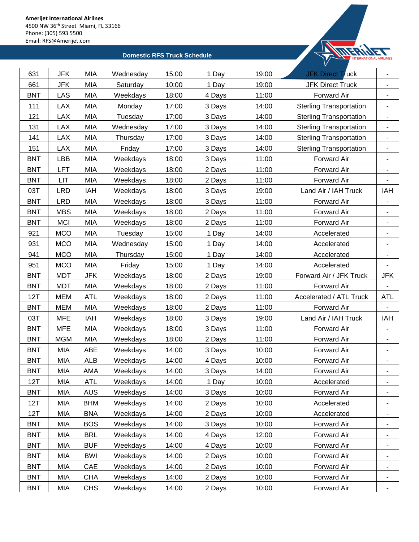

| 631        | <b>JFK</b> | <b>MIA</b> | Wednesday | 15:00 | 1 Day  | 19:00 | <b>JFK Direct Truck</b>        | $\blacksquare$               |
|------------|------------|------------|-----------|-------|--------|-------|--------------------------------|------------------------------|
| 661        | <b>JFK</b> | <b>MIA</b> | Saturday  | 10:00 | 1 Day  | 19:00 | <b>JFK Direct Truck</b>        | $\overline{\phantom{a}}$     |
| <b>BNT</b> | LAS        | <b>MIA</b> | Weekdays  | 18:00 | 4 Days | 11:00 | <b>Forward Air</b>             | $\overline{\phantom{a}}$     |
| 111        | LAX        | MIA        | Monday    | 17:00 | 3 Days | 14:00 | <b>Sterling Transportation</b> |                              |
| 121        | <b>LAX</b> | <b>MIA</b> | Tuesday   | 17:00 | 3 Days | 14:00 | <b>Sterling Transportation</b> | ۰                            |
| 131        | LAX        | MIA        | Wednesday | 17:00 | 3 Days | 14:00 | <b>Sterling Transportation</b> | $\overline{\phantom{a}}$     |
| 141        | LAX        | <b>MIA</b> | Thursday  | 17:00 | 3 Days | 14:00 | <b>Sterling Transportation</b> | $\overline{\phantom{a}}$     |
| 151        | <b>LAX</b> | <b>MIA</b> | Friday    | 17:00 | 3 Days | 14:00 | <b>Sterling Transportation</b> | $\overline{\phantom{a}}$     |
| <b>BNT</b> | <b>LBB</b> | <b>MIA</b> | Weekdays  | 18:00 | 3 Days | 11:00 | Forward Air                    | $\overline{\phantom{a}}$     |
| <b>BNT</b> | LFT        | MIA        | Weekdays  | 18:00 | 2 Days | 11:00 | Forward Air                    | ۰                            |
| <b>BNT</b> | LIT        | MIA        | Weekdays  | 18:00 | 2 Days | 11:00 | Forward Air                    |                              |
| 03T        | <b>LRD</b> | IAH        | Weekdays  | 18:00 | 3 Days | 19:00 | Land Air / IAH Truck           | IAH                          |
| <b>BNT</b> | LRD        | <b>MIA</b> | Weekdays  | 18:00 | 3 Days | 11:00 | <b>Forward Air</b>             |                              |
| <b>BNT</b> | <b>MBS</b> | <b>MIA</b> | Weekdays  | 18:00 | 2 Days | 11:00 | Forward Air                    |                              |
| <b>BNT</b> | <b>MCI</b> | <b>MIA</b> | Weekdays  | 18:00 | 2 Days | 11:00 | <b>Forward Air</b>             | $\qquad \qquad \blacksquare$ |
| 921        | <b>MCO</b> | MIA        | Tuesday   | 15:00 | 1 Day  | 14:00 | Accelerated                    |                              |
| 931        | <b>MCO</b> | <b>MIA</b> | Wednesday | 15:00 | 1 Day  | 14:00 | Accelerated                    | ۰                            |
| 941        | <b>MCO</b> | MIA        | Thursday  | 15:00 | 1 Day  | 14:00 | Accelerated                    | $\overline{\phantom{a}}$     |
| 951        | <b>MCO</b> | <b>MIA</b> | Friday    | 15:00 | 1 Day  | 14:00 | Accelerated                    | $\qquad \qquad \blacksquare$ |
| <b>BNT</b> | <b>MDT</b> | <b>JFK</b> | Weekdays  | 18:00 | 2 Days | 19:00 | Forward Air / JFK Truck        | JFK                          |
| <b>BNT</b> | <b>MDT</b> | <b>MIA</b> | Weekdays  | 18:00 | 2 Days | 11:00 | Forward Air                    |                              |
| 12T        | <b>MEM</b> | <b>ATL</b> | Weekdays  | 18:00 | 2 Days | 11:00 | Accelerated / ATL Truck        | <b>ATL</b>                   |
| <b>BNT</b> | MEM        | <b>MIA</b> | Weekdays  | 18:00 | 2 Days | 11:00 | <b>Forward Air</b>             |                              |
| 03T        | <b>MFE</b> | IAH        | Weekdays  | 18:00 | 3 Days | 19:00 | Land Air / IAH Truck           | IAH                          |
| <b>BNT</b> | <b>MFE</b> | MIA        | Weekdays  | 18:00 | 3 Days | 11:00 | <b>Forward Air</b>             | $\overline{\phantom{a}}$     |
| <b>BNT</b> | <b>MGM</b> | <b>MIA</b> | Weekdays  | 18:00 | 2 Days | 11:00 | Forward Air                    | $\overline{\phantom{a}}$     |
| <b>BNT</b> | <b>MIA</b> | ABE        | Weekdays  | 14:00 | 3 Days | 10:00 | Forward Air                    | $\qquad \qquad \blacksquare$ |
| <b>BNT</b> | <b>MIA</b> | <b>ALB</b> | Weekdays  | 14:00 | 4 Days | 10:00 | Forward Air                    |                              |
| <b>BNT</b> | <b>MIA</b> | AMA        | Weekdays  | 14:00 | 3 Days | 14:00 | Forward Air                    |                              |
| 12T        | <b>MIA</b> | ATL        | Weekdays  | 14:00 | 1 Day  | 10:00 | Accelerated                    | $\overline{\phantom{a}}$     |
| <b>BNT</b> | MIA        | <b>AUS</b> | Weekdays  | 14:00 | 3 Days | 10:00 | Forward Air                    | $\overline{\phantom{a}}$     |
| 12T        | MIA        | <b>BHM</b> | Weekdays  | 14:00 | 2 Days | 10:00 | Accelerated                    |                              |
| 12T        | MIA        | <b>BNA</b> | Weekdays  | 14:00 | 2 Days | 10:00 | Accelerated                    |                              |
| <b>BNT</b> | MIA        | <b>BOS</b> | Weekdays  | 14:00 | 3 Days | 10:00 | Forward Air                    | ۰                            |
| <b>BNT</b> | MIA        | <b>BRL</b> | Weekdays  | 14:00 | 4 Days | 12:00 | Forward Air                    | ٠                            |
| <b>BNT</b> | MIA        | <b>BUF</b> | Weekdays  | 14:00 | 4 Days | 10:00 | Forward Air                    | ۰                            |
| <b>BNT</b> | MIA        | <b>BWI</b> | Weekdays  | 14:00 | 2 Days | 10:00 | Forward Air                    | $\overline{\phantom{a}}$     |
| <b>BNT</b> | MIA        | CAE        | Weekdays  | 14:00 | 2 Days | 10:00 | Forward Air                    |                              |
| <b>BNT</b> | MIA        | <b>CHA</b> | Weekdays  | 14:00 | 2 Days | 10:00 | Forward Air                    | -                            |
| <b>BNT</b> | <b>MIA</b> | <b>CHS</b> | Weekdays  | 14:00 | 2 Days | 10:00 | Forward Air                    | ٠                            |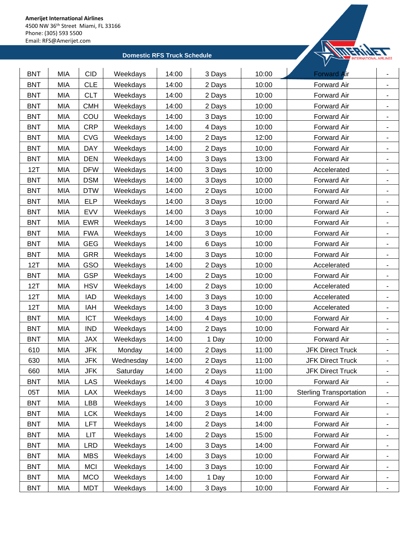

| <b>BNT</b> | <b>MIA</b> | <b>CID</b> | Weekdays  | 14:00 | 3 Days | 10:00 | <b>Forward Air</b>             |                              |
|------------|------------|------------|-----------|-------|--------|-------|--------------------------------|------------------------------|
| <b>BNT</b> | <b>MIA</b> | <b>CLE</b> | Weekdays  | 14:00 | 2 Days | 10:00 | Forward Air                    | $\blacksquare$               |
| <b>BNT</b> | <b>MIA</b> | <b>CLT</b> | Weekdays  | 14:00 | 2 Days | 10:00 | Forward Air                    | ٠                            |
| <b>BNT</b> | <b>MIA</b> | <b>CMH</b> | Weekdays  | 14:00 | 2 Days | 10:00 | Forward Air                    | ۰                            |
| <b>BNT</b> | <b>MIA</b> | COU        | Weekdays  | 14:00 | 3 Days | 10:00 | Forward Air                    | ۰                            |
| <b>BNT</b> | <b>MIA</b> | <b>CRP</b> | Weekdays  | 14:00 | 4 Days | 10:00 | Forward Air                    |                              |
| <b>BNT</b> | <b>MIA</b> | <b>CVG</b> | Weekdays  | 14:00 | 2 Days | 12:00 | Forward Air                    | ٠                            |
| <b>BNT</b> | <b>MIA</b> | <b>DAY</b> | Weekdays  | 14:00 | 2 Days | 10:00 | Forward Air                    | $\blacksquare$               |
| <b>BNT</b> | <b>MIA</b> | <b>DEN</b> | Weekdays  | 14:00 | 3 Days | 13:00 | Forward Air                    | ٠                            |
| 12T        | <b>MIA</b> | <b>DFW</b> | Weekdays  | 14:00 | 3 Days | 10:00 | Accelerated                    | ۰                            |
| <b>BNT</b> | <b>MIA</b> | <b>DSM</b> | Weekdays  | 14:00 | 3 Days | 10:00 | Forward Air                    | ۰                            |
| <b>BNT</b> | <b>MIA</b> | <b>DTW</b> | Weekdays  | 14:00 | 2 Days | 10:00 | Forward Air                    | $\blacksquare$               |
| <b>BNT</b> | <b>MIA</b> | <b>ELP</b> | Weekdays  | 14:00 | 3 Days | 10:00 | Forward Air                    |                              |
| <b>BNT</b> | <b>MIA</b> | <b>EVV</b> | Weekdays  | 14:00 | 3 Days | 10:00 | Forward Air                    | $\blacksquare$               |
| <b>BNT</b> | MIA        | <b>EWR</b> | Weekdays  | 14:00 | 3 Days | 10:00 | Forward Air                    | $\blacksquare$               |
| <b>BNT</b> | <b>MIA</b> | <b>FWA</b> | Weekdays  | 14:00 | 3 Days | 10:00 | Forward Air                    | $\overline{\phantom{a}}$     |
| <b>BNT</b> | <b>MIA</b> | <b>GEG</b> | Weekdays  | 14:00 | 6 Days | 10:00 | Forward Air                    | $\qquad \qquad \blacksquare$ |
| <b>BNT</b> | <b>MIA</b> | <b>GRR</b> | Weekdays  | 14:00 | 3 Days | 10:00 | Forward Air                    |                              |
| 12T        | <b>MIA</b> | GSO        | Weekdays  | 14:00 | 2 Days | 10:00 | Accelerated                    | ٠                            |
| <b>BNT</b> | <b>MIA</b> | <b>GSP</b> | Weekdays  | 14:00 | 2 Days | 10:00 | <b>Forward Air</b>             | $\blacksquare$               |
| 12T        | MIA        | <b>HSV</b> | Weekdays  | 14:00 | 2 Days | 10:00 | Accelerated                    | $\blacksquare$               |
| 12T        | <b>MIA</b> | <b>IAD</b> | Weekdays  | 14:00 | 3 Days | 10:00 | Accelerated                    | $\overline{\phantom{a}}$     |
| 12T        | <b>MIA</b> | <b>IAH</b> | Weekdays  | 14:00 | 3 Days | 10:00 | Accelerated                    | ۰                            |
| <b>BNT</b> | <b>MIA</b> | <b>ICT</b> | Weekdays  | 14:00 | 4 Days | 10:00 | Forward Air                    | ۰                            |
| <b>BNT</b> | <b>MIA</b> | <b>IND</b> | Weekdays  | 14:00 | 2 Days | 10:00 | Forward Air                    | ۰                            |
| <b>BNT</b> | <b>MIA</b> | <b>JAX</b> | Weekdays  | 14:00 | 1 Day  | 10:00 | Forward Air                    | $\blacksquare$               |
| 610        | MIA        | <b>JFK</b> | Monday    | 14:00 | 2 Days | 11:00 | <b>JFK Direct Truck</b>        | $\blacksquare$               |
| 630        | <b>MIA</b> | JFK        | Wednesday | 14:00 | 2 Days | 11:00 | <b>JFK Direct Truck</b>        |                              |
| 660        | MIA        | JFK        | Saturday  | 14:00 | 2 Days | 11:00 | <b>JFK Direct Truck</b>        |                              |
| <b>BNT</b> | MIA        | LAS        | Weekdays  | 14:00 | 4 Days | 10:00 | Forward Air                    | ۰                            |
| 05T        | <b>MIA</b> | <b>LAX</b> | Weekdays  | 14:00 | 3 Days | 11:00 | <b>Sterling Transportation</b> | ٠                            |
| <b>BNT</b> | MIA        | LBB        | Weekdays  | 14:00 | 3 Days | 10:00 | Forward Air                    | $\blacksquare$               |
| <b>BNT</b> | MIA        | <b>LCK</b> | Weekdays  | 14:00 | 2 Days | 14:00 | Forward Air                    | ٠                            |
| <b>BNT</b> | MIA        | LFT        | Weekdays  | 14:00 | 2 Days | 14:00 | Forward Air                    | $\blacksquare$               |
| <b>BNT</b> | <b>MIA</b> | LIT        | Weekdays  | 14:00 | 2 Days | 15:00 | Forward Air                    | ۰                            |
| <b>BNT</b> | <b>MIA</b> | <b>LRD</b> | Weekdays  | 14:00 | 3 Days | 14:00 | Forward Air                    | ۰                            |
| <b>BNT</b> | <b>MIA</b> | <b>MBS</b> | Weekdays  | 14:00 | 3 Days | 10:00 | Forward Air                    | ٠                            |
| <b>BNT</b> | <b>MIA</b> | <b>MCI</b> | Weekdays  | 14:00 | 3 Days | 10:00 | Forward Air                    | $\blacksquare$               |
| <b>BNT</b> | MIA        | <b>MCO</b> | Weekdays  | 14:00 | 1 Day  | 10:00 | Forward Air                    | ۰                            |
| <b>BNT</b> | MIA        | <b>MDT</b> | Weekdays  | 14:00 | 3 Days | 10:00 | Forward Air                    |                              |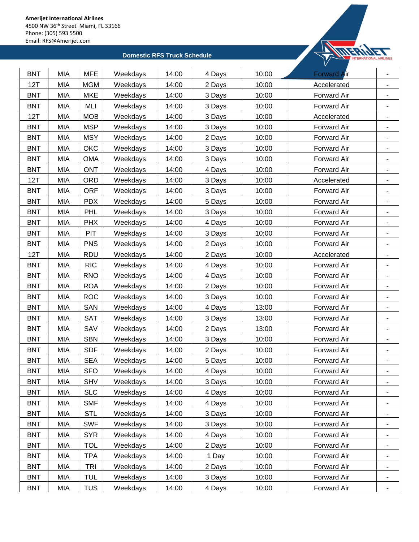

| <b>BNT</b> | <b>MIA</b> | <b>MFE</b> | Weekdays | 14:00 | 4 Days | 10:00 | <b>Forward Air</b> | $\blacksquare$           |
|------------|------------|------------|----------|-------|--------|-------|--------------------|--------------------------|
| 12T        | <b>MIA</b> | <b>MGM</b> | Weekdays | 14:00 | 2 Days | 10:00 | Accelerated        | $\blacksquare$           |
| <b>BNT</b> | <b>MIA</b> | <b>MKE</b> | Weekdays | 14:00 | 3 Days | 10:00 | Forward Air        | $\overline{\phantom{a}}$ |
| <b>BNT</b> | <b>MIA</b> | MLI        | Weekdays | 14:00 | 3 Days | 10:00 | Forward Air        |                          |
| 12T        | <b>MIA</b> | <b>MOB</b> | Weekdays | 14:00 | 3 Days | 10:00 | Accelerated        | $\blacksquare$           |
| <b>BNT</b> | <b>MIA</b> | <b>MSP</b> | Weekdays | 14:00 | 3 Days | 10:00 | Forward Air        | ۰                        |
| <b>BNT</b> | <b>MIA</b> | <b>MSY</b> | Weekdays | 14:00 | 2 Days | 10:00 | Forward Air        | $\blacksquare$           |
| <b>BNT</b> | <b>MIA</b> | OKC        | Weekdays | 14:00 | 3 Days | 10:00 | <b>Forward Air</b> | $\overline{\phantom{a}}$ |
| <b>BNT</b> | <b>MIA</b> | <b>OMA</b> | Weekdays | 14:00 | 3 Days | 10:00 | Forward Air        | $\overline{\phantom{a}}$ |
| <b>BNT</b> | <b>MIA</b> | <b>ONT</b> | Weekdays | 14:00 | 4 Days | 10:00 | Forward Air        | ۰                        |
| 12T        | <b>MIA</b> | ORD        | Weekdays | 14:00 | 3 Days | 10:00 | Accelerated        |                          |
| <b>BNT</b> | <b>MIA</b> | <b>ORF</b> | Weekdays | 14:00 | 3 Days | 10:00 | Forward Air        | ۰                        |
| <b>BNT</b> | <b>MIA</b> | <b>PDX</b> | Weekdays | 14:00 | 5 Days | 10:00 | Forward Air        | $\blacksquare$           |
| <b>BNT</b> | MIA        | PHL        | Weekdays | 14:00 | 3 Days | 10:00 | Forward Air        | $\blacksquare$           |
| <b>BNT</b> | MIA        | <b>PHX</b> | Weekdays | 14:00 | 4 Days | 10:00 | Forward Air        | $\blacksquare$           |
| <b>BNT</b> | <b>MIA</b> | PIT        | Weekdays | 14:00 | 3 Days | 10:00 | Forward Air        |                          |
| <b>BNT</b> | <b>MIA</b> | <b>PNS</b> | Weekdays | 14:00 | 2 Days | 10:00 | Forward Air        | ۰                        |
| 12T        | <b>MIA</b> | <b>RDU</b> | Weekdays | 14:00 | 2 Days | 10:00 | Accelerated        | ٠                        |
| <b>BNT</b> | <b>MIA</b> | <b>RIC</b> | Weekdays | 14:00 | 4 Days | 10:00 | Forward Air        | ٠                        |
| <b>BNT</b> | <b>MIA</b> | <b>RNO</b> | Weekdays | 14:00 | 4 Days | 10:00 | Forward Air        | $\blacksquare$           |
| <b>BNT</b> | <b>MIA</b> | <b>ROA</b> | Weekdays | 14:00 | 2 Days | 10:00 | Forward Air        | $\overline{\phantom{a}}$ |
| <b>BNT</b> | <b>MIA</b> | <b>ROC</b> | Weekdays | 14:00 | 3 Days | 10:00 | Forward Air        | ٠                        |
| <b>BNT</b> | MIA        | SAN        | Weekdays | 14:00 | 4 Days | 13:00 | Forward Air        |                          |
| <b>BNT</b> | <b>MIA</b> | SAT        | Weekdays | 14:00 | 3 Days | 13:00 | Forward Air        | $\blacksquare$           |
| <b>BNT</b> | <b>MIA</b> | SAV        | Weekdays | 14:00 | 2 Days | 13:00 | Forward Air        | $\blacksquare$           |
| <b>BNT</b> | <b>MIA</b> | <b>SBN</b> | Weekdays | 14:00 | 3 Days | 10:00 | Forward Air        | $\blacksquare$           |
| <b>BNT</b> | <b>MIA</b> | <b>SDF</b> | Weekdays | 14:00 | 2 Days | 10:00 | Forward Air        | ÷                        |
| <b>BNT</b> | <b>MIA</b> | <b>SEA</b> | Weekdays | 14:00 | 5 Days | 10:00 | Forward Air        |                          |
| <b>BNT</b> | <b>MIA</b> | <b>SFO</b> | Weekdays | 14:00 | 4 Days | 10:00 | Forward Air        |                          |
| <b>BNT</b> | <b>MIA</b> | <b>SHV</b> | Weekdays | 14:00 | 3 Days | 10:00 | Forward Air        | ۰                        |
| <b>BNT</b> | MIA        | <b>SLC</b> | Weekdays | 14:00 | 4 Days | 10:00 | Forward Air        | ٠                        |
| <b>BNT</b> | MIA        | <b>SMF</b> | Weekdays | 14:00 | 4 Days | 10:00 | Forward Air        | $\blacksquare$           |
| <b>BNT</b> | <b>MIA</b> | <b>STL</b> | Weekdays | 14:00 | 3 Days | 10:00 | Forward Air        | ۰                        |
| <b>BNT</b> | MIA        | <b>SWF</b> | Weekdays | 14:00 | 3 Days | 10:00 | Forward Air        | $\overline{\phantom{a}}$ |
| <b>BNT</b> | MIA        | <b>SYR</b> | Weekdays | 14:00 | 4 Days | 10:00 | Forward Air        | ۰                        |
| <b>BNT</b> | MIA        | <b>TOL</b> | Weekdays | 14:00 | 2 Days | 10:00 | Forward Air        | $\overline{\phantom{a}}$ |
| <b>BNT</b> | MIA        | <b>TPA</b> | Weekdays | 14:00 | 1 Day  | 10:00 | Forward Air        | $\blacksquare$           |
| <b>BNT</b> | MIA        | <b>TRI</b> | Weekdays | 14:00 | 2 Days | 10:00 | Forward Air        | $\blacksquare$           |
| <b>BNT</b> | MIA        | <b>TUL</b> | Weekdays | 14:00 | 3 Days | 10:00 | Forward Air        | ۰                        |
| <b>BNT</b> | MIA        | <b>TUS</b> | Weekdays | 14:00 | 4 Days | 10:00 | Forward Air        |                          |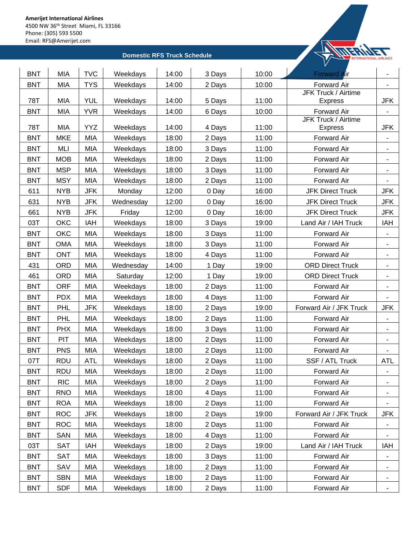

| <b>TYS</b><br>10:00<br><b>BNT</b><br><b>MIA</b><br>Weekdays<br>14:00<br><b>Forward Air</b><br>2 Days<br>JFK Truck / Airtime<br>78T<br><b>MIA</b><br><b>YUL</b><br>14:00<br>11:00<br>Weekdays<br>5 Days<br><b>JFK</b><br><b>Express</b><br>Forward Air<br><b>BNT</b><br><b>MIA</b><br><b>YVR</b><br>14:00<br>10:00<br>Weekdays<br>6 Days<br>JFK Truck / Airtime<br>78T<br><b>MIA</b><br><b>YYZ</b><br>11:00<br>Weekdays<br>14:00<br><b>JFK</b><br>4 Days<br><b>Express</b><br><b>MKE</b><br><b>MIA</b><br>18:00<br>11:00<br><b>BNT</b><br>Weekdays<br>Forward Air<br>2 Days<br><b>BNT</b><br>MLI<br><b>MIA</b><br>Weekdays<br>18:00<br>11:00<br>3 Days<br>Forward Air<br><b>BNT</b><br><b>MOB</b><br><b>MIA</b><br>11:00<br>Forward Air<br>Weekdays<br>18:00<br>2 Days<br><b>BNT</b><br><b>MSP</b><br>MIA<br>Weekdays<br>18:00<br>11:00<br>Forward Air<br>3 Days<br>$\qquad \qquad \blacksquare$<br><b>BNT</b><br><b>MSY</b><br><b>MIA</b><br>11:00<br>Weekdays<br>18:00<br>2 Days<br>Forward Air<br>611<br><b>NYB</b><br><b>JFK</b><br>16:00<br>Monday<br>12:00<br>0 Day<br><b>JFK Direct Truck</b><br>JFK<br>631<br><b>NYB</b><br><b>JFK</b><br>Wednesday<br>12:00<br>16:00<br><b>JFK</b><br>0 Day<br><b>JFK Direct Truck</b><br>16:00<br>661<br><b>NYB</b><br><b>JFK</b><br>Friday<br>12:00<br>0 Day<br><b>JFK Direct Truck</b><br><b>JFK</b><br>03T<br><b>OKC</b><br>IAH<br>18:00<br>19:00<br>Land Air / IAH Truck<br>IAH<br>Weekdays<br>3 Days<br>OKC<br><b>MIA</b><br>11:00<br><b>BNT</b><br>Weekdays<br>18:00<br>Forward Air<br>3 Days<br><b>BNT</b><br><b>OMA</b><br><b>MIA</b><br>11:00<br>Weekdays<br>18:00<br>3 Days<br>Forward Air<br>۰<br><b>BNT</b><br><b>ONT</b><br><b>MIA</b><br>18:00<br>11:00<br>Weekdays<br>4 Days<br>Forward Air<br>-<br><b>MIA</b><br>431<br><b>ORD</b><br>14:00<br>19:00<br><b>ORD Direct Truck</b><br>Wednesday<br>1 Day<br>461<br><b>ORD</b><br>MIA<br>12:00<br>19:00<br><b>ORD Direct Truck</b><br>Saturday<br>1 Day<br><b>BNT</b><br><b>ORF</b><br><b>MIA</b><br>11:00<br>Forward Air<br>Weekdays<br>18:00<br>2 Days<br><b>BNT</b><br><b>PDX</b><br><b>MIA</b><br>Weekdays<br>18:00<br>11:00<br>Forward Air<br>4 Days<br><b>BNT</b><br><b>PHL</b><br><b>JFK</b><br>18:00<br>19:00<br>Forward Air / JFK Truck<br><b>JFK</b><br>Weekdays<br>2 Days<br><b>BNT</b><br>PHL<br><b>MIA</b><br>11:00<br>Weekdays<br>18:00<br>2 Days<br>Forward Air<br>$\overline{\phantom{a}}$<br><b>MIA</b><br><b>BNT</b><br><b>PHX</b><br>Weekdays<br>18:00<br>11:00<br>Forward Air<br>3 Days<br>÷,<br>PIT<br><b>MIA</b><br><b>BNT</b><br>Weekdays<br>18:00<br>11:00<br>Forward Air<br>2 Days |
|------------------------------------------------------------------------------------------------------------------------------------------------------------------------------------------------------------------------------------------------------------------------------------------------------------------------------------------------------------------------------------------------------------------------------------------------------------------------------------------------------------------------------------------------------------------------------------------------------------------------------------------------------------------------------------------------------------------------------------------------------------------------------------------------------------------------------------------------------------------------------------------------------------------------------------------------------------------------------------------------------------------------------------------------------------------------------------------------------------------------------------------------------------------------------------------------------------------------------------------------------------------------------------------------------------------------------------------------------------------------------------------------------------------------------------------------------------------------------------------------------------------------------------------------------------------------------------------------------------------------------------------------------------------------------------------------------------------------------------------------------------------------------------------------------------------------------------------------------------------------------------------------------------------------------------------------------------------------------------------------------------------------------------------------------------------------------------------------------------------------------------------------------------------------------------------------------------------------------------------------------------------------------------------------------------------------------------------------------------------------------------------------------------------------------------------------------------------------------------------------------------------------------------------------------------------------------------------------------------------|
|                                                                                                                                                                                                                                                                                                                                                                                                                                                                                                                                                                                                                                                                                                                                                                                                                                                                                                                                                                                                                                                                                                                                                                                                                                                                                                                                                                                                                                                                                                                                                                                                                                                                                                                                                                                                                                                                                                                                                                                                                                                                                                                                                                                                                                                                                                                                                                                                                                                                                                                                                                                                                  |
|                                                                                                                                                                                                                                                                                                                                                                                                                                                                                                                                                                                                                                                                                                                                                                                                                                                                                                                                                                                                                                                                                                                                                                                                                                                                                                                                                                                                                                                                                                                                                                                                                                                                                                                                                                                                                                                                                                                                                                                                                                                                                                                                                                                                                                                                                                                                                                                                                                                                                                                                                                                                                  |
|                                                                                                                                                                                                                                                                                                                                                                                                                                                                                                                                                                                                                                                                                                                                                                                                                                                                                                                                                                                                                                                                                                                                                                                                                                                                                                                                                                                                                                                                                                                                                                                                                                                                                                                                                                                                                                                                                                                                                                                                                                                                                                                                                                                                                                                                                                                                                                                                                                                                                                                                                                                                                  |
|                                                                                                                                                                                                                                                                                                                                                                                                                                                                                                                                                                                                                                                                                                                                                                                                                                                                                                                                                                                                                                                                                                                                                                                                                                                                                                                                                                                                                                                                                                                                                                                                                                                                                                                                                                                                                                                                                                                                                                                                                                                                                                                                                                                                                                                                                                                                                                                                                                                                                                                                                                                                                  |
|                                                                                                                                                                                                                                                                                                                                                                                                                                                                                                                                                                                                                                                                                                                                                                                                                                                                                                                                                                                                                                                                                                                                                                                                                                                                                                                                                                                                                                                                                                                                                                                                                                                                                                                                                                                                                                                                                                                                                                                                                                                                                                                                                                                                                                                                                                                                                                                                                                                                                                                                                                                                                  |
|                                                                                                                                                                                                                                                                                                                                                                                                                                                                                                                                                                                                                                                                                                                                                                                                                                                                                                                                                                                                                                                                                                                                                                                                                                                                                                                                                                                                                                                                                                                                                                                                                                                                                                                                                                                                                                                                                                                                                                                                                                                                                                                                                                                                                                                                                                                                                                                                                                                                                                                                                                                                                  |
|                                                                                                                                                                                                                                                                                                                                                                                                                                                                                                                                                                                                                                                                                                                                                                                                                                                                                                                                                                                                                                                                                                                                                                                                                                                                                                                                                                                                                                                                                                                                                                                                                                                                                                                                                                                                                                                                                                                                                                                                                                                                                                                                                                                                                                                                                                                                                                                                                                                                                                                                                                                                                  |
|                                                                                                                                                                                                                                                                                                                                                                                                                                                                                                                                                                                                                                                                                                                                                                                                                                                                                                                                                                                                                                                                                                                                                                                                                                                                                                                                                                                                                                                                                                                                                                                                                                                                                                                                                                                                                                                                                                                                                                                                                                                                                                                                                                                                                                                                                                                                                                                                                                                                                                                                                                                                                  |
|                                                                                                                                                                                                                                                                                                                                                                                                                                                                                                                                                                                                                                                                                                                                                                                                                                                                                                                                                                                                                                                                                                                                                                                                                                                                                                                                                                                                                                                                                                                                                                                                                                                                                                                                                                                                                                                                                                                                                                                                                                                                                                                                                                                                                                                                                                                                                                                                                                                                                                                                                                                                                  |
|                                                                                                                                                                                                                                                                                                                                                                                                                                                                                                                                                                                                                                                                                                                                                                                                                                                                                                                                                                                                                                                                                                                                                                                                                                                                                                                                                                                                                                                                                                                                                                                                                                                                                                                                                                                                                                                                                                                                                                                                                                                                                                                                                                                                                                                                                                                                                                                                                                                                                                                                                                                                                  |
|                                                                                                                                                                                                                                                                                                                                                                                                                                                                                                                                                                                                                                                                                                                                                                                                                                                                                                                                                                                                                                                                                                                                                                                                                                                                                                                                                                                                                                                                                                                                                                                                                                                                                                                                                                                                                                                                                                                                                                                                                                                                                                                                                                                                                                                                                                                                                                                                                                                                                                                                                                                                                  |
|                                                                                                                                                                                                                                                                                                                                                                                                                                                                                                                                                                                                                                                                                                                                                                                                                                                                                                                                                                                                                                                                                                                                                                                                                                                                                                                                                                                                                                                                                                                                                                                                                                                                                                                                                                                                                                                                                                                                                                                                                                                                                                                                                                                                                                                                                                                                                                                                                                                                                                                                                                                                                  |
|                                                                                                                                                                                                                                                                                                                                                                                                                                                                                                                                                                                                                                                                                                                                                                                                                                                                                                                                                                                                                                                                                                                                                                                                                                                                                                                                                                                                                                                                                                                                                                                                                                                                                                                                                                                                                                                                                                                                                                                                                                                                                                                                                                                                                                                                                                                                                                                                                                                                                                                                                                                                                  |
|                                                                                                                                                                                                                                                                                                                                                                                                                                                                                                                                                                                                                                                                                                                                                                                                                                                                                                                                                                                                                                                                                                                                                                                                                                                                                                                                                                                                                                                                                                                                                                                                                                                                                                                                                                                                                                                                                                                                                                                                                                                                                                                                                                                                                                                                                                                                                                                                                                                                                                                                                                                                                  |
|                                                                                                                                                                                                                                                                                                                                                                                                                                                                                                                                                                                                                                                                                                                                                                                                                                                                                                                                                                                                                                                                                                                                                                                                                                                                                                                                                                                                                                                                                                                                                                                                                                                                                                                                                                                                                                                                                                                                                                                                                                                                                                                                                                                                                                                                                                                                                                                                                                                                                                                                                                                                                  |
|                                                                                                                                                                                                                                                                                                                                                                                                                                                                                                                                                                                                                                                                                                                                                                                                                                                                                                                                                                                                                                                                                                                                                                                                                                                                                                                                                                                                                                                                                                                                                                                                                                                                                                                                                                                                                                                                                                                                                                                                                                                                                                                                                                                                                                                                                                                                                                                                                                                                                                                                                                                                                  |
|                                                                                                                                                                                                                                                                                                                                                                                                                                                                                                                                                                                                                                                                                                                                                                                                                                                                                                                                                                                                                                                                                                                                                                                                                                                                                                                                                                                                                                                                                                                                                                                                                                                                                                                                                                                                                                                                                                                                                                                                                                                                                                                                                                                                                                                                                                                                                                                                                                                                                                                                                                                                                  |
|                                                                                                                                                                                                                                                                                                                                                                                                                                                                                                                                                                                                                                                                                                                                                                                                                                                                                                                                                                                                                                                                                                                                                                                                                                                                                                                                                                                                                                                                                                                                                                                                                                                                                                                                                                                                                                                                                                                                                                                                                                                                                                                                                                                                                                                                                                                                                                                                                                                                                                                                                                                                                  |
|                                                                                                                                                                                                                                                                                                                                                                                                                                                                                                                                                                                                                                                                                                                                                                                                                                                                                                                                                                                                                                                                                                                                                                                                                                                                                                                                                                                                                                                                                                                                                                                                                                                                                                                                                                                                                                                                                                                                                                                                                                                                                                                                                                                                                                                                                                                                                                                                                                                                                                                                                                                                                  |
|                                                                                                                                                                                                                                                                                                                                                                                                                                                                                                                                                                                                                                                                                                                                                                                                                                                                                                                                                                                                                                                                                                                                                                                                                                                                                                                                                                                                                                                                                                                                                                                                                                                                                                                                                                                                                                                                                                                                                                                                                                                                                                                                                                                                                                                                                                                                                                                                                                                                                                                                                                                                                  |
|                                                                                                                                                                                                                                                                                                                                                                                                                                                                                                                                                                                                                                                                                                                                                                                                                                                                                                                                                                                                                                                                                                                                                                                                                                                                                                                                                                                                                                                                                                                                                                                                                                                                                                                                                                                                                                                                                                                                                                                                                                                                                                                                                                                                                                                                                                                                                                                                                                                                                                                                                                                                                  |
|                                                                                                                                                                                                                                                                                                                                                                                                                                                                                                                                                                                                                                                                                                                                                                                                                                                                                                                                                                                                                                                                                                                                                                                                                                                                                                                                                                                                                                                                                                                                                                                                                                                                                                                                                                                                                                                                                                                                                                                                                                                                                                                                                                                                                                                                                                                                                                                                                                                                                                                                                                                                                  |
|                                                                                                                                                                                                                                                                                                                                                                                                                                                                                                                                                                                                                                                                                                                                                                                                                                                                                                                                                                                                                                                                                                                                                                                                                                                                                                                                                                                                                                                                                                                                                                                                                                                                                                                                                                                                                                                                                                                                                                                                                                                                                                                                                                                                                                                                                                                                                                                                                                                                                                                                                                                                                  |
|                                                                                                                                                                                                                                                                                                                                                                                                                                                                                                                                                                                                                                                                                                                                                                                                                                                                                                                                                                                                                                                                                                                                                                                                                                                                                                                                                                                                                                                                                                                                                                                                                                                                                                                                                                                                                                                                                                                                                                                                                                                                                                                                                                                                                                                                                                                                                                                                                                                                                                                                                                                                                  |
|                                                                                                                                                                                                                                                                                                                                                                                                                                                                                                                                                                                                                                                                                                                                                                                                                                                                                                                                                                                                                                                                                                                                                                                                                                                                                                                                                                                                                                                                                                                                                                                                                                                                                                                                                                                                                                                                                                                                                                                                                                                                                                                                                                                                                                                                                                                                                                                                                                                                                                                                                                                                                  |
| <b>MIA</b><br><b>BNT</b><br><b>PNS</b><br>Weekdays<br>18:00<br>11:00<br>Forward Air<br>2 Days                                                                                                                                                                                                                                                                                                                                                                                                                                                                                                                                                                                                                                                                                                                                                                                                                                                                                                                                                                                                                                                                                                                                                                                                                                                                                                                                                                                                                                                                                                                                                                                                                                                                                                                                                                                                                                                                                                                                                                                                                                                                                                                                                                                                                                                                                                                                                                                                                                                                                                                    |
| 18:00<br>11:00<br>SSF / ATL Truck<br>07T<br><b>RDU</b><br><b>ATL</b><br>Weekdays<br>2 Days<br><b>ATL</b>                                                                                                                                                                                                                                                                                                                                                                                                                                                                                                                                                                                                                                                                                                                                                                                                                                                                                                                                                                                                                                                                                                                                                                                                                                                                                                                                                                                                                                                                                                                                                                                                                                                                                                                                                                                                                                                                                                                                                                                                                                                                                                                                                                                                                                                                                                                                                                                                                                                                                                         |
| <b>BNT</b><br><b>RDU</b><br>MIA<br>18:00<br>2 Days<br>11:00<br>Weekdays<br>Forward Air                                                                                                                                                                                                                                                                                                                                                                                                                                                                                                                                                                                                                                                                                                                                                                                                                                                                                                                                                                                                                                                                                                                                                                                                                                                                                                                                                                                                                                                                                                                                                                                                                                                                                                                                                                                                                                                                                                                                                                                                                                                                                                                                                                                                                                                                                                                                                                                                                                                                                                                           |
| <b>RIC</b><br>MIA<br>11:00<br><b>BNT</b><br>Weekdays<br>18:00<br>2 Days<br><b>Forward Air</b>                                                                                                                                                                                                                                                                                                                                                                                                                                                                                                                                                                                                                                                                                                                                                                                                                                                                                                                                                                                                                                                                                                                                                                                                                                                                                                                                                                                                                                                                                                                                                                                                                                                                                                                                                                                                                                                                                                                                                                                                                                                                                                                                                                                                                                                                                                                                                                                                                                                                                                                    |
| <b>BNT</b><br><b>RNO</b><br><b>MIA</b><br>Weekdays<br>18:00<br>11:00<br>Forward Air<br>4 Days                                                                                                                                                                                                                                                                                                                                                                                                                                                                                                                                                                                                                                                                                                                                                                                                                                                                                                                                                                                                                                                                                                                                                                                                                                                                                                                                                                                                                                                                                                                                                                                                                                                                                                                                                                                                                                                                                                                                                                                                                                                                                                                                                                                                                                                                                                                                                                                                                                                                                                                    |
| <b>BNT</b><br><b>ROA</b><br>MIA<br>11:00<br>Forward Air<br>Weekdays<br>18:00<br>2 Days                                                                                                                                                                                                                                                                                                                                                                                                                                                                                                                                                                                                                                                                                                                                                                                                                                                                                                                                                                                                                                                                                                                                                                                                                                                                                                                                                                                                                                                                                                                                                                                                                                                                                                                                                                                                                                                                                                                                                                                                                                                                                                                                                                                                                                                                                                                                                                                                                                                                                                                           |
| 19:00<br>Forward Air / JFK Truck<br><b>BNT</b><br><b>ROC</b><br><b>JFK</b><br>Weekdays<br>18:00<br>2 Days<br>JFK                                                                                                                                                                                                                                                                                                                                                                                                                                                                                                                                                                                                                                                                                                                                                                                                                                                                                                                                                                                                                                                                                                                                                                                                                                                                                                                                                                                                                                                                                                                                                                                                                                                                                                                                                                                                                                                                                                                                                                                                                                                                                                                                                                                                                                                                                                                                                                                                                                                                                                 |
| <b>BNT</b><br><b>ROC</b><br>MIA<br>Weekdays<br>18:00<br>11:00<br>Forward Air<br>2 Days<br>$\blacksquare$                                                                                                                                                                                                                                                                                                                                                                                                                                                                                                                                                                                                                                                                                                                                                                                                                                                                                                                                                                                                                                                                                                                                                                                                                                                                                                                                                                                                                                                                                                                                                                                                                                                                                                                                                                                                                                                                                                                                                                                                                                                                                                                                                                                                                                                                                                                                                                                                                                                                                                         |
| <b>BNT</b><br>SAN<br>MIA<br>11:00<br>Forward Air<br>Weekdays<br>18:00<br>4 Days                                                                                                                                                                                                                                                                                                                                                                                                                                                                                                                                                                                                                                                                                                                                                                                                                                                                                                                                                                                                                                                                                                                                                                                                                                                                                                                                                                                                                                                                                                                                                                                                                                                                                                                                                                                                                                                                                                                                                                                                                                                                                                                                                                                                                                                                                                                                                                                                                                                                                                                                  |
| 03T<br>19:00<br>Land Air / IAH Truck<br><b>SAT</b><br>IAH<br>Weekdays<br>18:00<br>2 Days<br>IAH                                                                                                                                                                                                                                                                                                                                                                                                                                                                                                                                                                                                                                                                                                                                                                                                                                                                                                                                                                                                                                                                                                                                                                                                                                                                                                                                                                                                                                                                                                                                                                                                                                                                                                                                                                                                                                                                                                                                                                                                                                                                                                                                                                                                                                                                                                                                                                                                                                                                                                                  |
| <b>BNT</b><br><b>SAT</b><br>MIA<br>Weekdays<br>18:00<br>11:00<br>3 Days<br>Forward Air                                                                                                                                                                                                                                                                                                                                                                                                                                                                                                                                                                                                                                                                                                                                                                                                                                                                                                                                                                                                                                                                                                                                                                                                                                                                                                                                                                                                                                                                                                                                                                                                                                                                                                                                                                                                                                                                                                                                                                                                                                                                                                                                                                                                                                                                                                                                                                                                                                                                                                                           |
| <b>BNT</b><br>SAV<br>MIA<br>Weekdays<br>18:00<br>2 Days<br>11:00<br>Forward Air                                                                                                                                                                                                                                                                                                                                                                                                                                                                                                                                                                                                                                                                                                                                                                                                                                                                                                                                                                                                                                                                                                                                                                                                                                                                                                                                                                                                                                                                                                                                                                                                                                                                                                                                                                                                                                                                                                                                                                                                                                                                                                                                                                                                                                                                                                                                                                                                                                                                                                                                  |
| MIA<br>11:00<br>Forward Air<br><b>BNT</b><br><b>SBN</b><br>Weekdays<br>18:00<br>2 Days<br>۰.                                                                                                                                                                                                                                                                                                                                                                                                                                                                                                                                                                                                                                                                                                                                                                                                                                                                                                                                                                                                                                                                                                                                                                                                                                                                                                                                                                                                                                                                                                                                                                                                                                                                                                                                                                                                                                                                                                                                                                                                                                                                                                                                                                                                                                                                                                                                                                                                                                                                                                                     |
| <b>BNT</b><br><b>SDF</b><br>MIA<br>Weekdays<br>18:00<br>11:00<br>Forward Air<br>2 Days<br>٠                                                                                                                                                                                                                                                                                                                                                                                                                                                                                                                                                                                                                                                                                                                                                                                                                                                                                                                                                                                                                                                                                                                                                                                                                                                                                                                                                                                                                                                                                                                                                                                                                                                                                                                                                                                                                                                                                                                                                                                                                                                                                                                                                                                                                                                                                                                                                                                                                                                                                                                      |